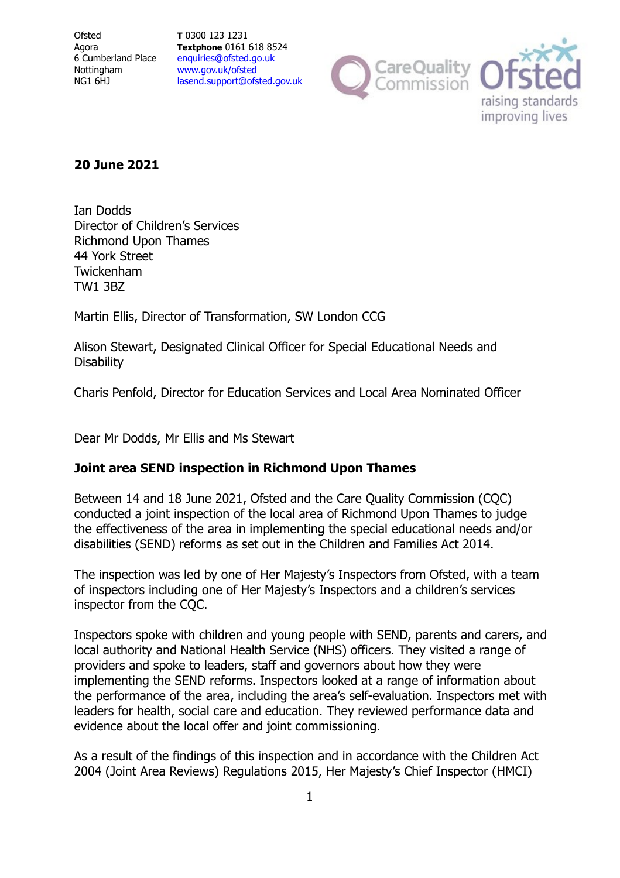**Ofsted** Agora 6 Cumberland Place Nottingham NG1 6HJ

**T** 0300 123 1231 **Textphone** 0161 618 8524 [enquiries@ofsted.go.uk](mailto:enquiries@ofsted.go.uk) [www.gov.uk/ofsted](http://www.gov.uk/ofsted) [lasend.support@ofsted.gov.uk](mailto:lasend.support@ofsted.gov.uk)



## **20 June 2021**

Ian Dodds Director of Children's Services Richmond Upon Thames 44 York Street Twickenham TW1 3BZ

Martin Ellis, Director of Transformation, SW London CCG

Alison Stewart, Designated Clinical Officer for Special Educational Needs and **Disability** 

Charis Penfold, Director for Education Services and Local Area Nominated Officer

Dear Mr Dodds, Mr Ellis and Ms Stewart

# **Joint area SEND inspection in Richmond Upon Thames**

Between 14 and 18 June 2021, Ofsted and the Care Quality Commission (CQC) conducted a joint inspection of the local area of Richmond Upon Thames to judge the effectiveness of the area in implementing the special educational needs and/or disabilities (SEND) reforms as set out in the Children and Families Act 2014.

The inspection was led by one of Her Majesty's Inspectors from Ofsted, with a team of inspectors including one of Her Majesty's Inspectors and a children's services inspector from the CQC.

Inspectors spoke with children and young people with SEND, parents and carers, and local authority and National Health Service (NHS) officers. They visited a range of providers and spoke to leaders, staff and governors about how they were implementing the SEND reforms. Inspectors looked at a range of information about the performance of the area, including the area's self-evaluation. Inspectors met with leaders for health, social care and education. They reviewed performance data and evidence about the local offer and joint commissioning.

As a result of the findings of this inspection and in accordance with the Children Act 2004 (Joint Area Reviews) Regulations 2015, Her Majesty's Chief Inspector (HMCI)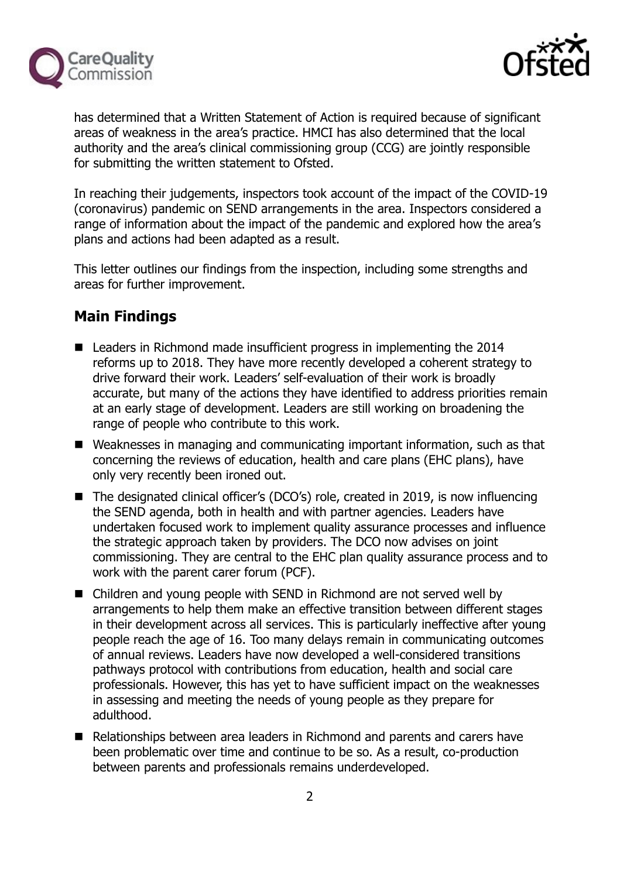



has determined that a Written Statement of Action is required because of significant areas of weakness in the area's practice. HMCI has also determined that the local authority and the area's clinical commissioning group (CCG) are jointly responsible for submitting the written statement to Ofsted.

In reaching their judgements, inspectors took account of the impact of the COVID-19 (coronavirus) pandemic on SEND arrangements in the area. Inspectors considered a range of information about the impact of the pandemic and explored how the area's plans and actions had been adapted as a result.

This letter outlines our findings from the inspection, including some strengths and areas for further improvement.

# **Main Findings**

- Leaders in Richmond made insufficient progress in implementing the 2014 reforms up to 2018. They have more recently developed a coherent strategy to drive forward their work. Leaders' self-evaluation of their work is broadly accurate, but many of the actions they have identified to address priorities remain at an early stage of development. Leaders are still working on broadening the range of people who contribute to this work.
- Weaknesses in managing and communicating important information, such as that concerning the reviews of education, health and care plans (EHC plans), have only very recently been ironed out.
- The designated clinical officer's (DCO's) role, created in 2019, is now influencing the SEND agenda, both in health and with partner agencies. Leaders have undertaken focused work to implement quality assurance processes and influence the strategic approach taken by providers. The DCO now advises on joint commissioning. They are central to the EHC plan quality assurance process and to work with the parent carer forum (PCF).
- Children and young people with SEND in Richmond are not served well by arrangements to help them make an effective transition between different stages in their development across all services. This is particularly ineffective after young people reach the age of 16. Too many delays remain in communicating outcomes of annual reviews. Leaders have now developed a well-considered transitions pathways protocol with contributions from education, health and social care professionals. However, this has yet to have sufficient impact on the weaknesses in assessing and meeting the needs of young people as they prepare for adulthood.
- Relationships between area leaders in Richmond and parents and carers have been problematic over time and continue to be so. As a result, co-production between parents and professionals remains underdeveloped.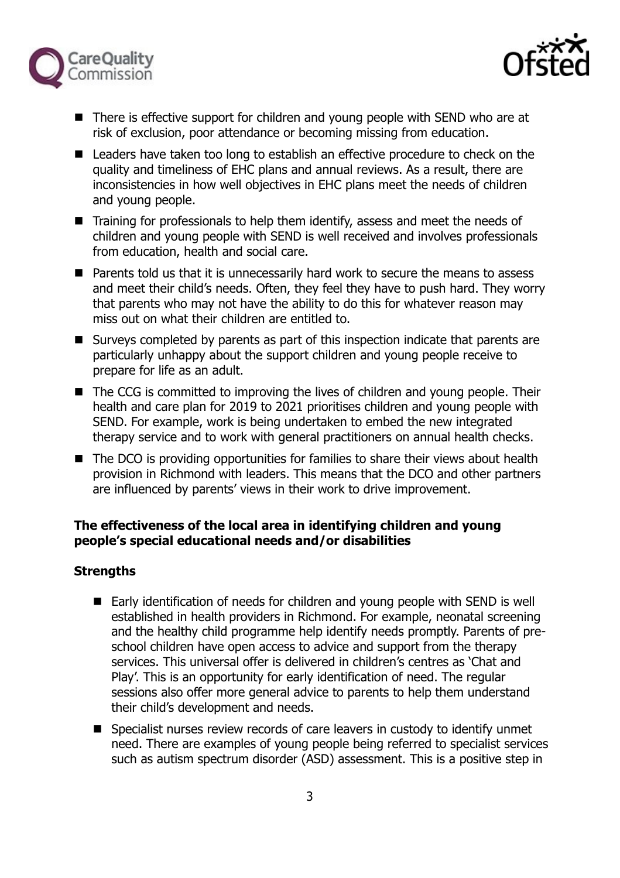



- There is effective support for children and young people with SEND who are at risk of exclusion, poor attendance or becoming missing from education.
- Leaders have taken too long to establish an effective procedure to check on the quality and timeliness of EHC plans and annual reviews. As a result, there are inconsistencies in how well objectives in EHC plans meet the needs of children and young people.
- Training for professionals to help them identify, assess and meet the needs of children and young people with SEND is well received and involves professionals from education, health and social care.
- Parents told us that it is unnecessarily hard work to secure the means to assess and meet their child's needs. Often, they feel they have to push hard. They worry that parents who may not have the ability to do this for whatever reason may miss out on what their children are entitled to.
- Surveys completed by parents as part of this inspection indicate that parents are particularly unhappy about the support children and young people receive to prepare for life as an adult.
- The CCG is committed to improving the lives of children and young people. Their health and care plan for 2019 to 2021 prioritises children and young people with SEND. For example, work is being undertaken to embed the new integrated therapy service and to work with general practitioners on annual health checks.
- The DCO is providing opportunities for families to share their views about health provision in Richmond with leaders. This means that the DCO and other partners are influenced by parents' views in their work to drive improvement.

# **The effectiveness of the local area in identifying children and young people's special educational needs and/or disabilities**

# **Strengths**

- Early identification of needs for children and young people with SEND is well established in health providers in Richmond. For example, neonatal screening and the healthy child programme help identify needs promptly. Parents of preschool children have open access to advice and support from the therapy services. This universal offer is delivered in children's centres as 'Chat and Play'. This is an opportunity for early identification of need. The regular sessions also offer more general advice to parents to help them understand their child's development and needs.
- Specialist nurses review records of care leavers in custody to identify unmet need. There are examples of young people being referred to specialist services such as autism spectrum disorder (ASD) assessment. This is a positive step in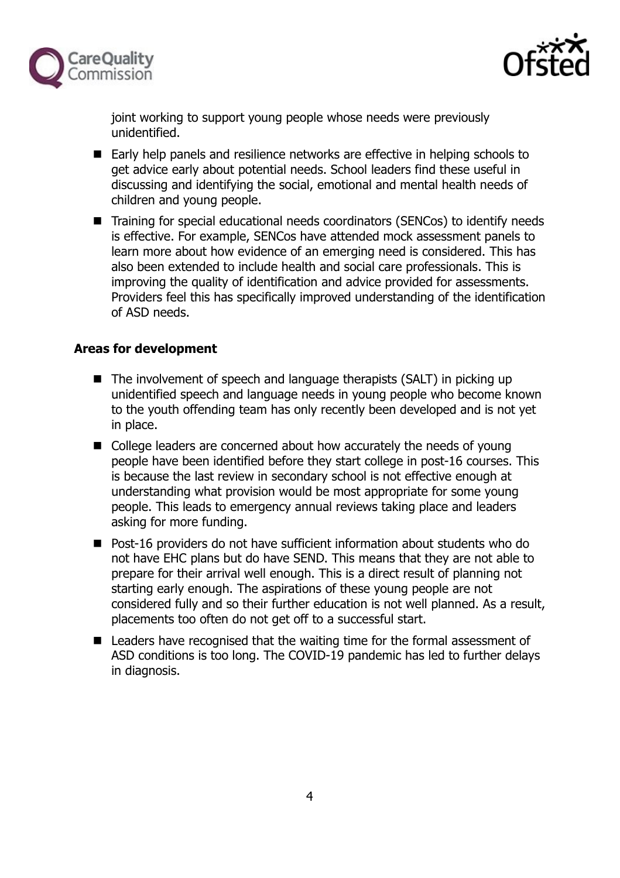



joint working to support young people whose needs were previously unidentified.

- Early help panels and resilience networks are effective in helping schools to get advice early about potential needs. School leaders find these useful in discussing and identifying the social, emotional and mental health needs of children and young people.
- Training for special educational needs coordinators (SENCos) to identify needs is effective. For example, SENCos have attended mock assessment panels to learn more about how evidence of an emerging need is considered. This has also been extended to include health and social care professionals. This is improving the quality of identification and advice provided for assessments. Providers feel this has specifically improved understanding of the identification of ASD needs.

## **Areas for development**

- $\blacksquare$  The involvement of speech and language therapists (SALT) in picking up unidentified speech and language needs in young people who become known to the youth offending team has only recently been developed and is not yet in place.
- College leaders are concerned about how accurately the needs of young people have been identified before they start college in post-16 courses. This is because the last review in secondary school is not effective enough at understanding what provision would be most appropriate for some young people. This leads to emergency annual reviews taking place and leaders asking for more funding.
- Post-16 providers do not have sufficient information about students who do not have EHC plans but do have SEND. This means that they are not able to prepare for their arrival well enough. This is a direct result of planning not starting early enough. The aspirations of these young people are not considered fully and so their further education is not well planned. As a result, placements too often do not get off to a successful start.
- Leaders have recognised that the waiting time for the formal assessment of ASD conditions is too long. The COVID-19 pandemic has led to further delays in diagnosis.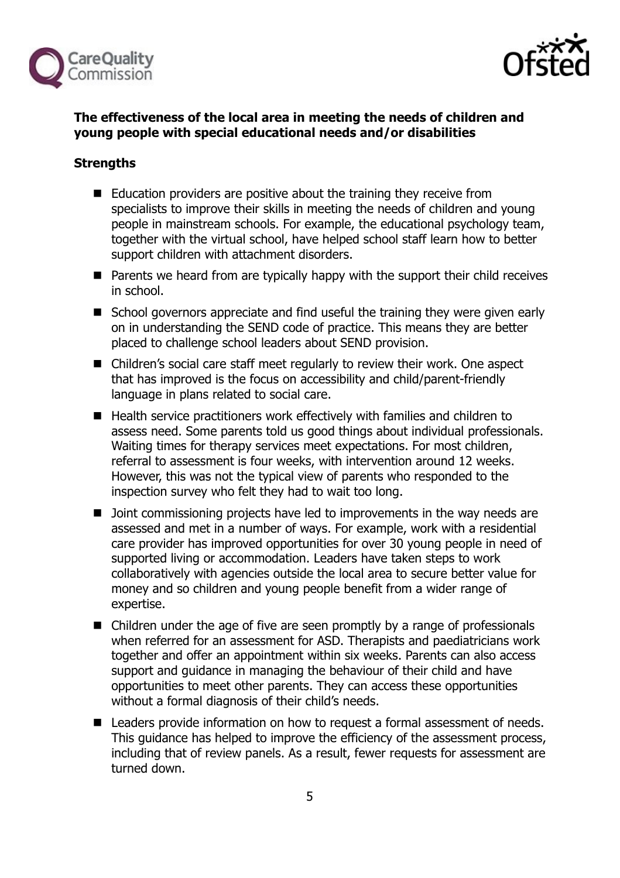



# **The effectiveness of the local area in meeting the needs of children and young people with special educational needs and/or disabilities**

# **Strengths**

- Education providers are positive about the training they receive from specialists to improve their skills in meeting the needs of children and young people in mainstream schools. For example, the educational psychology team, together with the virtual school, have helped school staff learn how to better support children with attachment disorders.
- $\blacksquare$  Parents we heard from are typically happy with the support their child receives in school.
- School governors appreciate and find useful the training they were given early on in understanding the SEND code of practice. This means they are better placed to challenge school leaders about SEND provision.
- Children's social care staff meet regularly to review their work. One aspect that has improved is the focus on accessibility and child/parent-friendly language in plans related to social care.
- Health service practitioners work effectively with families and children to assess need. Some parents told us good things about individual professionals. Waiting times for therapy services meet expectations. For most children, referral to assessment is four weeks, with intervention around 12 weeks. However, this was not the typical view of parents who responded to the inspection survey who felt they had to wait too long.
- Doint commissioning projects have led to improvements in the way needs are assessed and met in a number of ways. For example, work with a residential care provider has improved opportunities for over 30 young people in need of supported living or accommodation. Leaders have taken steps to work collaboratively with agencies outside the local area to secure better value for money and so children and young people benefit from a wider range of expertise.
- Children under the age of five are seen promptly by a range of professionals when referred for an assessment for ASD. Therapists and paediatricians work together and offer an appointment within six weeks. Parents can also access support and guidance in managing the behaviour of their child and have opportunities to meet other parents. They can access these opportunities without a formal diagnosis of their child's needs.
- Leaders provide information on how to request a formal assessment of needs. This guidance has helped to improve the efficiency of the assessment process, including that of review panels. As a result, fewer requests for assessment are turned down.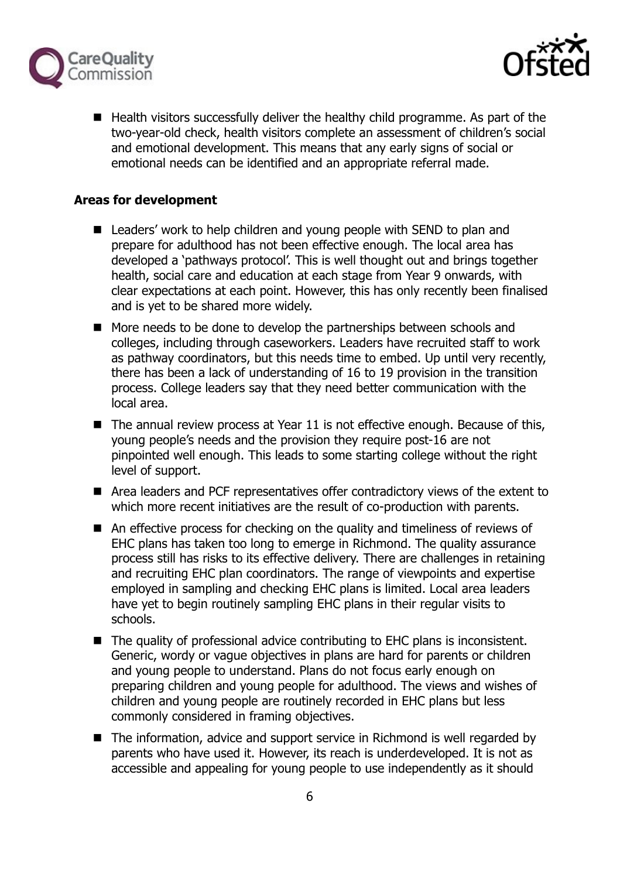



 $\blacksquare$  Health visitors successfully deliver the healthy child programme. As part of the two-year-old check, health visitors complete an assessment of children's social and emotional development. This means that any early signs of social or emotional needs can be identified and an appropriate referral made.

## **Areas for development**

- Leaders' work to help children and young people with SEND to plan and prepare for adulthood has not been effective enough. The local area has developed a 'pathways protocol'. This is well thought out and brings together health, social care and education at each stage from Year 9 onwards, with clear expectations at each point. However, this has only recently been finalised and is yet to be shared more widely.
- More needs to be done to develop the partnerships between schools and colleges, including through caseworkers. Leaders have recruited staff to work as pathway coordinators, but this needs time to embed. Up until very recently, there has been a lack of understanding of 16 to 19 provision in the transition process. College leaders say that they need better communication with the local area.
- $\blacksquare$  The annual review process at Year 11 is not effective enough. Because of this, young people's needs and the provision they require post-16 are not pinpointed well enough. This leads to some starting college without the right level of support.
- Area leaders and PCF representatives offer contradictory views of the extent to which more recent initiatives are the result of co-production with parents.
- An effective process for checking on the quality and timeliness of reviews of EHC plans has taken too long to emerge in Richmond. The quality assurance process still has risks to its effective delivery. There are challenges in retaining and recruiting EHC plan coordinators. The range of viewpoints and expertise employed in sampling and checking EHC plans is limited. Local area leaders have yet to begin routinely sampling EHC plans in their regular visits to schools.
- The quality of professional advice contributing to EHC plans is inconsistent. Generic, wordy or vague objectives in plans are hard for parents or children and young people to understand. Plans do not focus early enough on preparing children and young people for adulthood. The views and wishes of children and young people are routinely recorded in EHC plans but less commonly considered in framing objectives.
- The information, advice and support service in Richmond is well regarded by parents who have used it. However, its reach is underdeveloped. It is not as accessible and appealing for young people to use independently as it should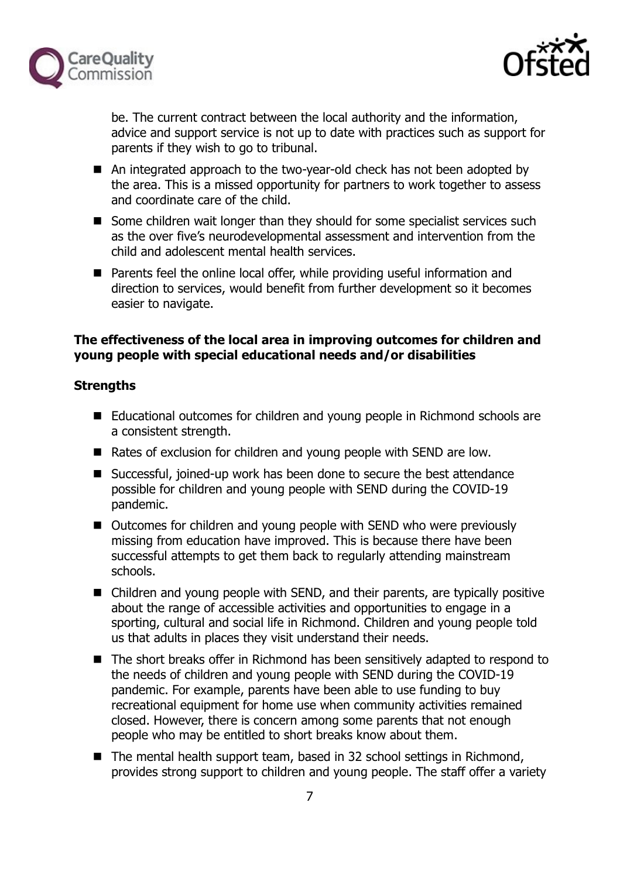



be. The current contract between the local authority and the information, advice and support service is not up to date with practices such as support for parents if they wish to go to tribunal.

- An integrated approach to the two-year-old check has not been adopted by the area. This is a missed opportunity for partners to work together to assess and coordinate care of the child.
- Some children wait longer than they should for some specialist services such as the over five's neurodevelopmental assessment and intervention from the child and adolescent mental health services.
- Parents feel the online local offer, while providing useful information and direction to services, would benefit from further development so it becomes easier to navigate.

# **The effectiveness of the local area in improving outcomes for children and young people with special educational needs and/or disabilities**

## **Strengths**

- Educational outcomes for children and young people in Richmond schools are a consistent strength.
- Rates of exclusion for children and young people with SEND are low.
- Successful, joined-up work has been done to secure the best attendance possible for children and young people with SEND during the COVID-19 pandemic.
- Outcomes for children and young people with SEND who were previously missing from education have improved. This is because there have been successful attempts to get them back to regularly attending mainstream schools.
- Children and young people with SEND, and their parents, are typically positive about the range of accessible activities and opportunities to engage in a sporting, cultural and social life in Richmond. Children and young people told us that adults in places they visit understand their needs.
- The short breaks offer in Richmond has been sensitively adapted to respond to the needs of children and young people with SEND during the COVID-19 pandemic. For example, parents have been able to use funding to buy recreational equipment for home use when community activities remained closed. However, there is concern among some parents that not enough people who may be entitled to short breaks know about them.
- The mental health support team, based in 32 school settings in Richmond, provides strong support to children and young people. The staff offer a variety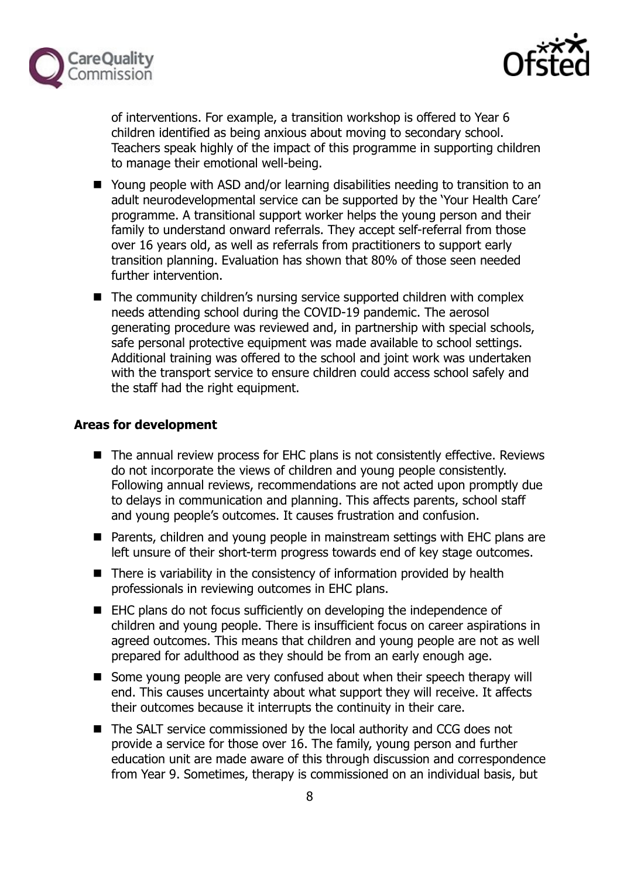



of interventions. For example, a transition workshop is offered to Year 6 children identified as being anxious about moving to secondary school. Teachers speak highly of the impact of this programme in supporting children to manage their emotional well-being.

- Young people with ASD and/or learning disabilities needing to transition to an adult neurodevelopmental service can be supported by the 'Your Health Care' programme. A transitional support worker helps the young person and their family to understand onward referrals. They accept self-referral from those over 16 years old, as well as referrals from practitioners to support early transition planning. Evaluation has shown that 80% of those seen needed further intervention.
- The community children's nursing service supported children with complex needs attending school during the COVID-19 pandemic. The aerosol generating procedure was reviewed and, in partnership with special schools, safe personal protective equipment was made available to school settings. Additional training was offered to the school and joint work was undertaken with the transport service to ensure children could access school safely and the staff had the right equipment.

## **Areas for development**

- The annual review process for EHC plans is not consistently effective. Reviews do not incorporate the views of children and young people consistently. Following annual reviews, recommendations are not acted upon promptly due to delays in communication and planning. This affects parents, school staff and young people's outcomes. It causes frustration and confusion.
- Parents, children and young people in mainstream settings with EHC plans are left unsure of their short-term progress towards end of key stage outcomes.
- $\blacksquare$  There is variability in the consistency of information provided by health professionals in reviewing outcomes in EHC plans.
- EHC plans do not focus sufficiently on developing the independence of children and young people. There is insufficient focus on career aspirations in agreed outcomes. This means that children and young people are not as well prepared for adulthood as they should be from an early enough age.
- Some young people are very confused about when their speech therapy will end. This causes uncertainty about what support they will receive. It affects their outcomes because it interrupts the continuity in their care.
- The SALT service commissioned by the local authority and CCG does not provide a service for those over 16. The family, young person and further education unit are made aware of this through discussion and correspondence from Year 9. Sometimes, therapy is commissioned on an individual basis, but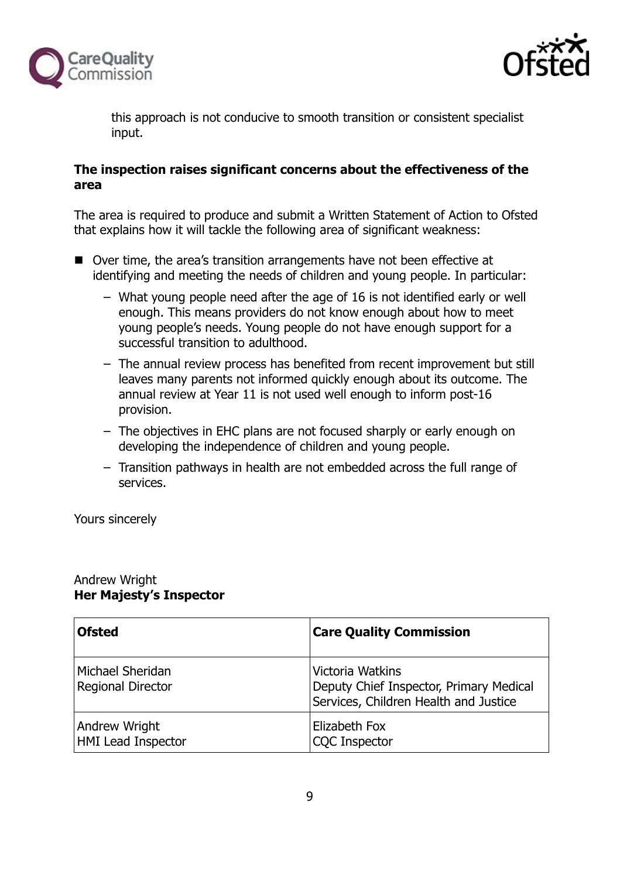



this approach is not conducive to smooth transition or consistent specialist input.

## **The inspection raises significant concerns about the effectiveness of the area**

The area is required to produce and submit a Written Statement of Action to Ofsted that explains how it will tackle the following area of significant weakness:

- Over time, the area's transition arrangements have not been effective at identifying and meeting the needs of children and young people. In particular:
	- ‒ What young people need after the age of 16 is not identified early or well enough. This means providers do not know enough about how to meet young people's needs. Young people do not have enough support for a successful transition to adulthood.
	- ‒ The annual review process has benefited from recent improvement but still leaves many parents not informed quickly enough about its outcome. The annual review at Year 11 is not used well enough to inform post-16 provision.
	- ‒ The objectives in EHC plans are not focused sharply or early enough on developing the independence of children and young people.
	- ‒ Transition pathways in health are not embedded across the full range of services.

Yours sincerely

### Andrew Wright **Her Majesty's Inspector**

| <b>Ofsted</b>                              | <b>Care Quality Commission</b>                                                                       |
|--------------------------------------------|------------------------------------------------------------------------------------------------------|
| Michael Sheridan<br>Regional Director      | Victoria Watkins<br>Deputy Chief Inspector, Primary Medical<br>Services, Children Health and Justice |
| Andrew Wright<br><b>HMI Lead Inspector</b> | Elizabeth Fox<br><b>CQC Inspector</b>                                                                |